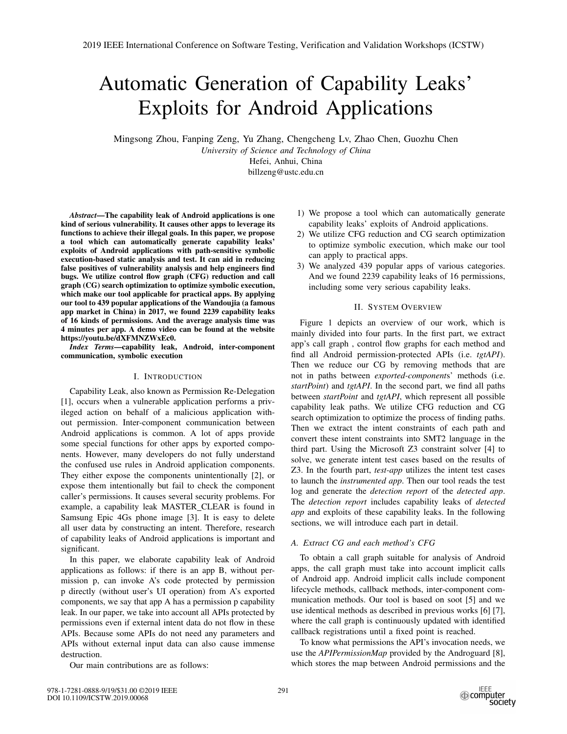# Automatic Generation of Capability Leaks' Exploits for Android Applications

Mingsong Zhou, Fanping Zeng, Yu Zhang, Chengcheng Lv, Zhao Chen, Guozhu Chen *University of Science and Technology of China* Hefei, Anhui, China

billzeng@ustc.edu.cn

*Abstract*—The capability leak of Android applications is one kind of serious vulnerability. It causes other apps to leverage its functions to achieve their illegal goals. In this paper, we propose a tool which can automatically generate capability leaks' exploits of Android applications with path-sensitive symbolic execution-based static analysis and test. It can aid in reducing false positives of vulnerability analysis and help engineers find bugs. We utilize control flow graph (CFG) reduction and call graph (CG) search optimization to optimize symbolic execution, which make our tool applicable for practical apps. By applying our tool to 439 popular applications of the Wandoujia (a famous app market in China) in 2017, we found 2239 capability leaks of 16 kinds of permissions. And the average analysis time was 4 minutes per app. A demo video can be found at the website https://youtu.be/dXFMNZWxEc0.

*Index Terms*—capability leak, Android, inter-component communication, symbolic execution

#### I. INTRODUCTION

Capability Leak, also known as Permission Re-Delegation [1], occurs when a vulnerable application performs a privileged action on behalf of a malicious application without permission. Inter-component communication between Android applications is common. A lot of apps provide some special functions for other apps by exported components. However, many developers do not fully understand the confused use rules in Android application components. They either expose the components unintentionally [2], or expose them intentionally but fail to check the component caller's permissions. It causes several security problems. For example, a capability leak MASTER CLEAR is found in Samsung Epic 4Gs phone image [3]. It is easy to delete all user data by constructing an intent. Therefore, research of capability leaks of Android applications is important and significant.

In this paper, we elaborate capability leak of Android applications as follows: if there is an app B, without permission p, can invoke A's code protected by permission p directly (without user's UI operation) from A's exported components, we say that app A has a permission p capability leak. In our paper, we take into account all APIs protected by permissions even if external intent data do not flow in these APIs. Because some APIs do not need any parameters and APIs without external input data can also cause immense destruction.

Our main contributions are as follows:

- 1) We propose a tool which can automatically generate capability leaks' exploits of Android applications.
- 2) We utilize CFG reduction and CG search optimization to optimize symbolic execution, which make our tool can apply to practical apps.
- 3) We analyzed 439 popular apps of various categories. And we found 2239 capability leaks of 16 permissions, including some very serious capability leaks.

# II. SYSTEM OVERVIEW

Figure 1 depicts an overview of our work, which is mainly divided into four parts. In the first part, we extract app's call graph , control flow graphs for each method and find all Android permission-protected APIs (i.e. *tgtAPI*). Then we reduce our CG by removing methods that are not in paths between *exported-component*s' methods (i.e. *startPoint*) and *tgtAPI*. In the second part, we find all paths between *startPoint* and *tgtAPI*, which represent all possible capability leak paths. We utilize CFG reduction and CG search optimization to optimize the process of finding paths. Then we extract the intent constraints of each path and convert these intent constraints into SMT2 language in the third part. Using the Microsoft Z3 constraint solver [4] to solve, we generate intent test cases based on the results of Z3. In the fourth part, *test-app* utilizes the intent test cases to launch the *instrumented app*. Then our tool reads the test log and generate the *detection report* of the *detected app*. The *detection report* includes capability leaks of *detected app* and exploits of these capability leaks. In the following sections, we will introduce each part in detail.

## *A. Extract CG and each method's CFG*

To obtain a call graph suitable for analysis of Android apps, the call graph must take into account implicit calls of Android app. Android implicit calls include component lifecycle methods, callback methods, inter-component communication methods. Our tool is based on soot [5] and we use identical methods as described in previous works [6] [7], where the call graph is continuously updated with identified callback registrations until a fixed point is reached.

To know what permissions the API's invocation needs, we use the *APIPermissionMap* provided by the Androguard [8], which stores the map between Android permissions and the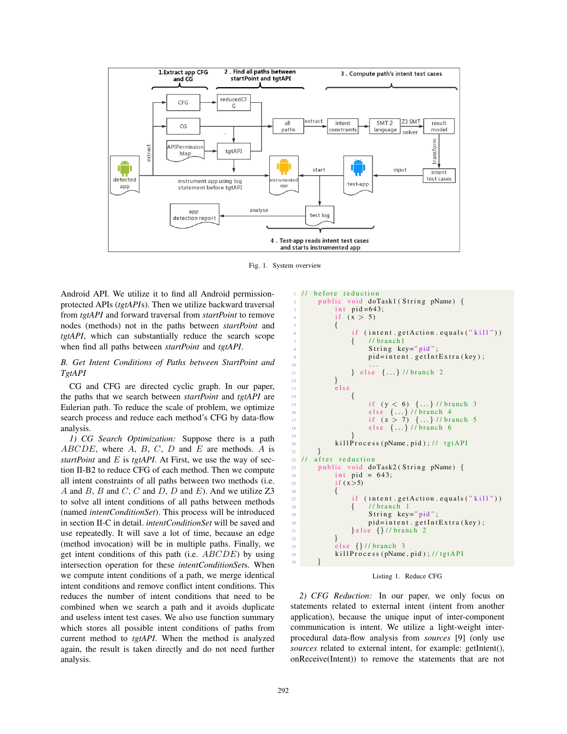

Fig. 1. System overview

Android API. We utilize it to find all Android permissionprotected APIs (*tgtAPI*s). Then we utilize backward traversal from *tgtAPI* and forward traversal from *startPoint* to remove nodes (methods) not in the paths between *startPoint* and *tgtAPI*, which can substantially reduce the search scope when find all paths between *startPoint* and *tgtAPI*.

# *B. Get Intent Conditions of Paths between StartPoint and TgtAPI*

CG and CFG are directed cyclic graph. In our paper, the paths that we search between *startPoint* and *tgtAPI* are Eulerian path. To reduce the scale of problem, we optimize search process and reduce each method's CFG by data-flow analysis.

*1) CG Search Optimization:* Suppose there is a path  $ABCDE$ , where  $A$ ,  $B$ ,  $C$ ,  $D$  and  $E$  are methods.  $A$  is *startPoint* and E is *tgtAPI*. At First, we use the way of section II-B2 to reduce CFG of each method. Then we compute all intent constraints of all paths between two methods (i.e. A and B, B and C, C and D, D and E). And we utilize  $Z3$ to solve all intent conditions of all paths between methods (named *intentConditionSet*). This process will be introduced in section II-C in detail. *intentConditionSet* will be saved and use repeatedly. It will save a lot of time, because an edge (method invocation) will be in multiple paths. Finally, we get intent conditions of this path (i.e. ABCDE) by using intersection operation for these *intentConditionSet*s. When we compute intent conditions of a path, we merge identical intent conditions and remove conflict intent conditions. This reduces the number of intent conditions that need to be combined when we search a path and it avoids duplicate and useless intent test cases. We also use function summary which stores all possible intent conditions of paths from current method to *tgtAPI*. When the method is analyzed again, the result is taken directly and do not need further analysis.

```
// before reduction
        public void doTask1 (String pName) {
              int pid=643;
              if (x > 5)\frac{5}{5} {
                    if (intent.getAction.equals("kill"))\{ // branch1
                         String key="pid";
                         pid=intent.getIntExtra(key);
10 ...
11 } else \{ \ldots \} // branch 2
12 }
13 else
\overline{14} \overline{14} \overline{14} \overline{14} \overline{14} \overline{14} \overline{14} \overline{14} \overline{14} \overline{14} \overline{14} \overline{14} \overline{14} \overline{14} \overline{14} \overline{14} \overline{14} \overline{14} \overline{14} \overline{14} \overline{14} \overline{14} 15 if (y < 6) \ \{ \ldots \} / l \text{ branch } 316 else { ... } // branch 4
17 if (z > 7) \{ \ldots \} // branch 5
18 else \{ \ldots \} // branch 6
19 }
20 killProcess (pName, pid); // tgtAPI
21\frac{22}{23} // after reduction<br>public void do
        public void doTask2 (String pName) {
24 int pid = 643;
25 if (x>5)26 {
27 if (intent.getAction.equals ("kill"))
\begin{array}{cc}\n & \text{28} \\
29\n \end{array} \begin{array}{cc}\n & \text{4} \\
 \text{5} \\
 \text{10} \\
 \text{11} \\
 \text{29}\n \end{array}String key="pid" ;30 pid=intent . getIntExtra (key);
31 } else {} // branch 2
32 }
33 else {} // branch 3
34 killProcess (pName, pid); // tgtAPI
35 }
```
Listing 1. Reduce CFG

*2) CFG Reduction:* In our paper, we only focus on statements related to external intent (intent from another application), because the unique input of inter-component communication is intent. We utilize a light-weight interprocedural data-flow analysis from *sources* [9] (only use *sources* related to external intent, for example: getIntent(), onReceive(Intent)) to remove the statements that are not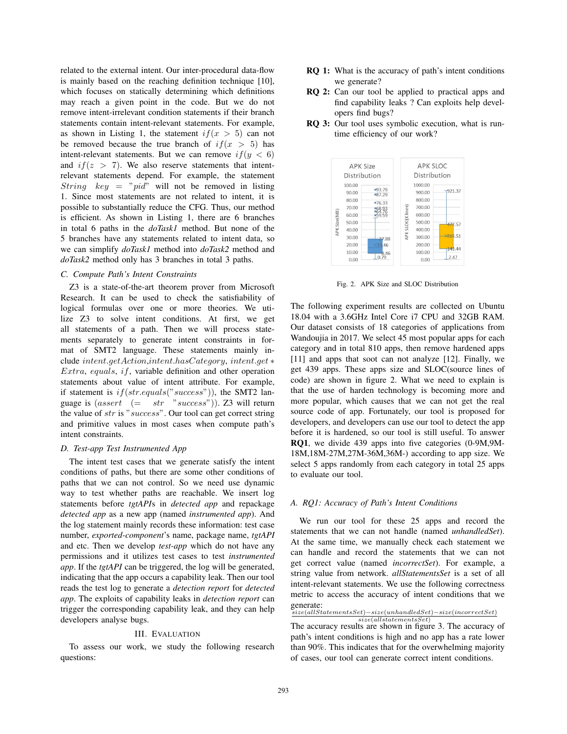related to the external intent. Our inter-procedural data-flow is mainly based on the reaching definition technique [10], which focuses on statically determining which definitions may reach a given point in the code. But we do not remove intent-irrelevant condition statements if their branch statements contain intent-relevant statements. For example, as shown in Listing 1, the statement  $if(x > 5)$  can not be removed because the true branch of  $if(x > 5)$  has intent-relevant statements. But we can remove  $if(y < 6)$ and  $if(z > 7)$ . We also reserve statements that intentrelevant statements depend. For example, the statement String  $key = "pid"$  will not be removed in listing 1. Since most statements are not related to intent, it is possible to substantially reduce the CFG. Thus, our method is efficient. As shown in Listing 1, there are 6 branches in total 6 paths in the *doTask1* method. But none of the 5 branches have any statements related to intent data, so we can simplify *doTask1* method into *doTask2* method and *doTask2* method only has 3 branches in total 3 paths.

## *C. Compute Path's Intent Constraints*

Z3 is a state-of-the-art theorem prover from Microsoft Research. It can be used to check the satisfiability of logical formulas over one or more theories. We utilize Z3 to solve intent conditions. At first, we get all statements of a path. Then we will process statements separately to generate intent constraints in format of SMT2 language. These statements mainly include intent.getAction,intent.hasCategory, intent.get ∗  $Extra, equals, if, variable definition and other operation$ statements about value of intent attribute. For example, if statement is  $if(str.equals("success"))$ , the SMT2 language is  $(assert \ (= str \ "success")$ ). Z3 will return the value of str is "success". Our tool can get correct string and primitive values in most cases when compute path's intent constraints.

#### *D. Test-app Test Instrumented App*

The intent test cases that we generate satisfy the intent conditions of paths, but there are some other conditions of paths that we can not control. So we need use dynamic way to test whether paths are reachable. We insert log statements before *tgtAPI*s in *detected app* and repackage *detected app* as a new app (named *instrumented app*). And the log statement mainly records these information: test case number, *exported-component*'s name, package name, *tgtAPI* and etc. Then we develop *test-app* which do not have any permissions and it utilizes test cases to test *instrumented app*. If the *tgtAPI* can be triggered, the log will be generated, indicating that the app occurs a capability leak. Then our tool reads the test log to generate a *detection report* for *detected app*. The exploits of capability leaks in *detection report* can trigger the corresponding capability leak, and they can help developers analyse bugs.

#### III. EVALUATION

To assess our work, we study the following research questions:

- RQ 1: What is the accuracy of path's intent conditions we generate?
- RQ 2: Can our tool be applied to practical apps and find capability leaks ? Can exploits help developers find bugs?
- RQ 3: Our tool uses symbolic execution, what is runtime efficiency of our work?



Fig. 2. APK Size and SLOC Distribution

The following experiment results are collected on Ubuntu 18.04 with a 3.6GHz Intel Core i7 CPU and 32GB RAM. Our dataset consists of 18 categories of applications from Wandoujia in 2017. We select 45 most popular apps for each category and in total 810 apps, then remove hardened apps [11] and apps that soot can not analyze [12]. Finally, we get 439 apps. These apps size and SLOC(source lines of code) are shown in figure 2. What we need to explain is that the use of harden technology is becoming more and more popular, which causes that we can not get the real source code of app. Fortunately, our tool is proposed for developers, and developers can use our tool to detect the app before it is hardened, so our tool is still useful. To answer RQ1, we divide 439 apps into five categories (0-9M,9M-18M,18M-27M,27M-36M,36M-) according to app size. We select 5 apps randomly from each category in total 25 apps to evaluate our tool.

## *A. RQ1: Accuracy of Path's Intent Conditions*

We run our tool for these 25 apps and record the statements that we can not handle (named *unhandledSet*). At the same time, we manually check each statement we can handle and record the statements that we can not get correct value (named *incorrectSet*). For example, a string value from network. *allStatementsSet* is a set of all intent-relevant statements. We use the following correctness metric to access the accuracy of intent conditions that we generate:

*size*(*allStatementsSet*)−*size*(*unhandledSet*)−*size*(*incorrectSet*) *size*(*allstatementsSet*)

The accuracy results are shown in figure 3. The accuracy of path's intent conditions is high and no app has a rate lower than 90%. This indicates that for the overwhelming majority of cases, our tool can generate correct intent conditions.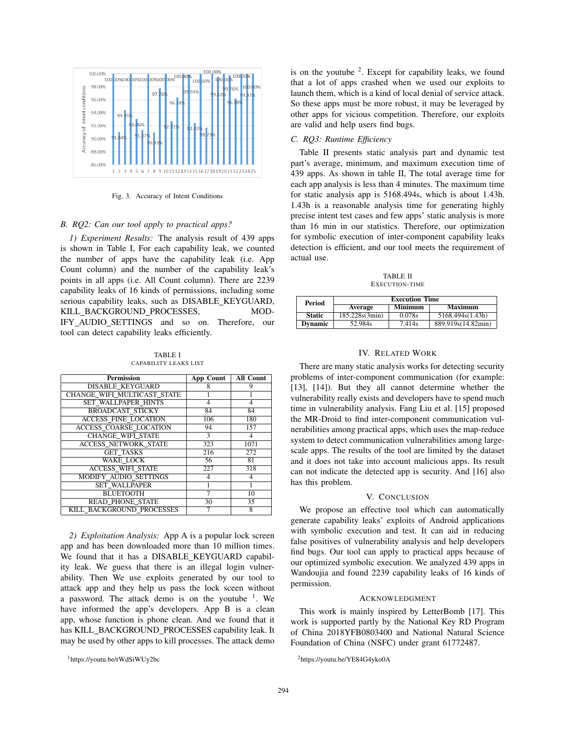

Fig. 3. Accuracy of Intent Conditions

#### *B. RQ2: Can our tool apply to practical apps?*

*1) Experiment Results:* The analysis result of 439 apps is shown in Table I, For each capability leak, we counted the number of apps have the capability leak (i.e. App Count column) and the number of the capability leak's points in all apps (i.e. All Count column). There are 2239 capability leaks of 16 kinds of permissions, including some serious capability leaks, such as DISABLE\_KEYGUARD, KILL\_BACKGROUND\_PROCESSES, MOD-IFY AUDIO SETTINGS and so on. Therefore, our tool can detect capability leaks efficiently.

TABLE I CAPABILITY LEAKS LIST

| <b>Permission</b>             | <b>App Count</b> | <b>All Count</b> |
|-------------------------------|------------------|------------------|
| <b>DISABLE KEYGUARD</b>       | 8                | 9                |
| CHANGE WIFI MULTICAST STATE   |                  |                  |
| <b>SET WALLPAPER HINTS</b>    | $\overline{4}$   | 4                |
| <b>BROADCAST STICKY</b>       | 84               | 84               |
| <b>ACCESS FINE LOCATION</b>   | 106              | 180              |
| <b>ACCESS COARSE LOCATION</b> | 94               | 157              |
| <b>CHANGE WIFI STATE</b>      | 3                |                  |
| <b>ACCESS NETWORK STATE</b>   | 323              | 1071             |
| <b>GET TASKS</b>              | 216              | 272              |
| <b>WAKE LOCK</b>              | 56               | 81               |
| <b>ACCESS WIFI STATE</b>      | 227              | 318              |
| <b>MODIFY AUDIO SETTINGS</b>  | 4                |                  |
| <b>SET WALLPAPER</b>          |                  |                  |
| <b>BLUETOOTH</b>              | 7                | 10               |
| <b>READ PHONE STATE</b>       | 30               | 35               |
| KILL BACKGROUND PROCESSES     |                  | 8                |

*2) Exploitation Analysis:* App A is a popular lock screen app and has been downloaded more than 10 million times. We found that it has a DISABLE KEYGUARD capability leak. We guess that there is an illegal login vulnerability. Then We use exploits generated by our tool to attack app and they help us pass the lock sceen without a password. The attack demo is on the youtube  $1$ . We have informed the app's developers. App B is a clean app, whose function is phone clean. And we found that it has KILL\_BACKGROUND\_PROCESSES capability leak. It may be used by other apps to kill processes. The attack demo is on the youtube  $2$ . Except for capability leaks, we found that a lot of apps crashed when we used our exploits to launch them, which is a kind of local denial of service attack. So these apps must be more robust, it may be leveraged by other apps for vicious competition. Therefore, our exploits are valid and help users find bugs.

# *C. RQ3: Runtime Efficiency*

Table II presents static analysis part and dynamic test part's average, minimum, and maximum execution time of 439 apps. As shown in table II, The total average time for each app analysis is less than 4 minutes. The maximum time for static analysis app is 5168.494s, which is about 1.43h. 1.43h is a reasonable analysis time for generating highly precise intent test cases and few apps' static analysis is more than 16 min in our statistics. Therefore, our optimization for symbolic execution of inter-component capability leaks detection is efficient, and our tool meets the requirement of actual use.

TABLE II EXECUTION-TIME

| Period         | <b>Execution Time</b> |                     |                    |  |
|----------------|-----------------------|---------------------|--------------------|--|
|                | Average               | <b>Minimum</b>      | Maximum            |  |
| <b>Static</b>  | 185.228s(3min)        | 0.078s              | 5168.494s(1.43h)   |  |
| <b>Dynamic</b> | 52.984s               | $7.41\overline{4s}$ | 889.919s(14.82min) |  |

#### IV. RELATED WORK

There are many static analysis works for detecting security problems of inter-component communication (for example: [13], [14]). But they all cannot determine whether the vulnerability really exists and developers have to spend much time in vulnerability analysis. Fang Liu et al. [15] proposed the MR-Droid to find inter-component communication vulnerabilities among practical apps, which uses the map-reduce system to detect communication vulnerabilities among largescale apps. The results of the tool are limited by the dataset and it does not take into account malicious apps. Its result can not indicate the detected app is security. And [16] also has this problem.

## V. CONCLUSION

We propose an effective tool which can automatically generate capability leaks' exploits of Android applications with symbolic execution and test. It can aid in reducing false positives of vulnerability analysis and help developers find bugs. Our tool can apply to practical apps because of our optimized symbolic execution. We analyzed 439 apps in Wandoujia and found 2239 capability leaks of 16 kinds of permission.

## ACKNOWLEDGMENT

This work is mainly inspired by LetterBomb [17]. This work is supported partly by the National Key RD Program of China 2018YFB0803400 and National Natural Science Foundation of China (NSFC) under grant 61772487.

2https://youtu.be/YE84G4yko0A

<sup>1</sup>https://youtu.be/rWdSiWUy2bc